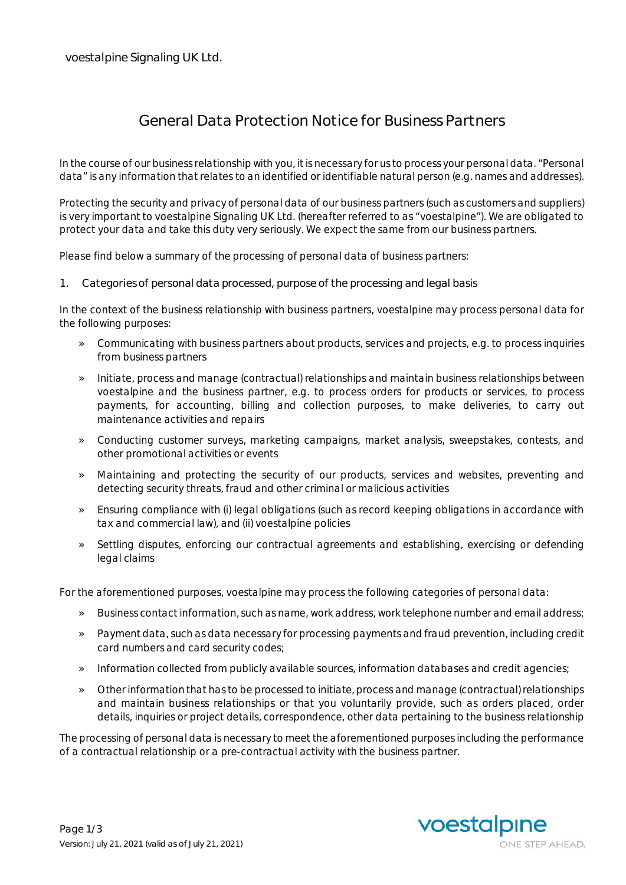## **General Data Protection Notice for Business Partners**

In the course of our business relationship with you, it is necessary for us to process your personal data. "Personal data" is any information that relates to an identified or identifiable natural person (e.g. names and addresses).

Protecting the security and privacy of personal data of our business partners (such as customers and suppliers) is very important to voestalpine Signaling UK Ltd. (hereafter referred to as "voestalpine"). We are obligated to protect your data and take this duty very seriously. We expect the same from our business partners.

Please find below a summary of the processing of personal data of business partners:

**1. Categories of personal data processed, purpose of the processing and legal basis**

In the context of the business relationship with business partners, voestalpine may process personal data for the following purposes:

- » Communicating with business partners about products, services and projects, e.g. to process inquiries from business partners
- » Initiate, process and manage (contractual) relationships and maintain business relationships between voestalpine and the business partner, e.g. to process orders for products or services, to process payments, for accounting, billing and collection purposes, to make deliveries, to carry out maintenance activities and repairs
- » Conducting customer surveys, marketing campaigns, market analysis, sweepstakes, contests, and other promotional activities or events
- » Maintaining and protecting the security of our products, services and websites, preventing and detecting security threats, fraud and other criminal or malicious activities
- » Ensuring compliance with (i) legal obligations (such as record keeping obligations in accordance with tax and commercial law), and (ii) voestalpine policies
- » Settling disputes, enforcing our contractual agreements and establishing, exercising or defending legal claims

For the aforementioned purposes, voestalpine may process the following categories of personal data:

- » Business contact information, such as name, work address, work telephone number and email address;
- » Payment data, such as data necessary for processing payments and fraud prevention, including credit card numbers and card security codes;
- » Information collected from publicly available sources, information databases and credit agencies;
- » Other information that has to be processed to initiate, process and manage (contractual) relationships and maintain business relationships or that you voluntarily provide, such as orders placed, order details, inquiries or project details, correspondence, other data pertaining to the business relationship

The processing of personal data is necessary to meet the aforementioned purposes including the performance of a contractual relationship or a pre-contractual activity with the business partner.

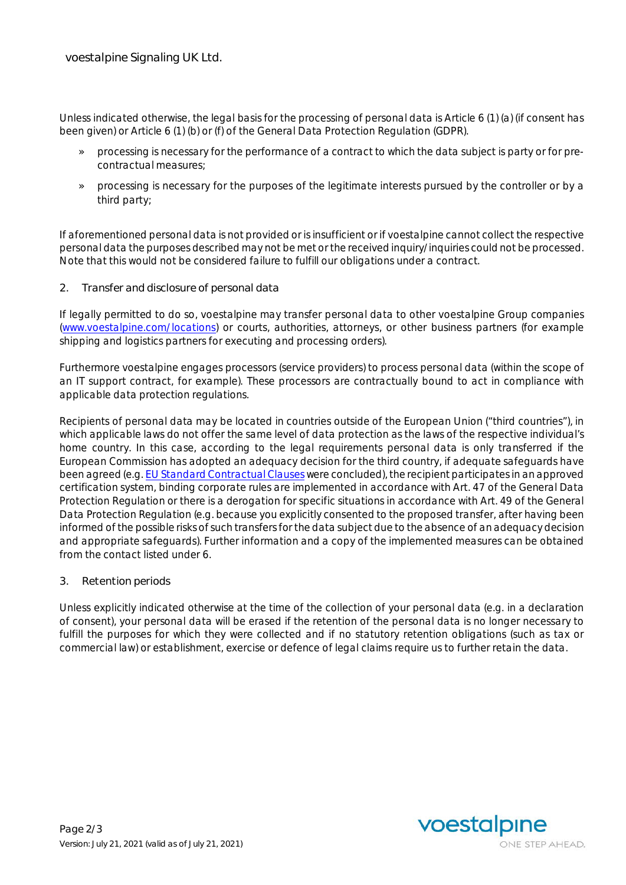Unless indicated otherwise, the legal basis for the processing of personal data is Article 6 (1) (a) (if consent has been given) or Article 6 (1) (b) or (f) of the General Data Protection Regulation (GDPR).

- » processing is necessary for the performance of a contract to which the data subject is party or for precontractual measures;
- » processing is necessary for the purposes of the legitimate interests pursued by the controller or by a third party;

If aforementioned personal data is not provided or is insufficient or if voestalpine cannot collect the respective personal data the purposes described may not be met or the received inquiry/inquiries could not be processed. Note that this would not be considered failure to fulfill our obligations under a contract.

**2. Transfer and disclosure of personal data**

If legally permitted to do so, voestalpine may transfer personal data to other voestalpine Group companies (www.voestalpine.com/locations) or courts, authorities, attorneys, or other business partners (for example shipping and logistics partners for executing and processing orders).

Furthermore voestalpine engages processors (service providers) to process personal data (within the scope of an IT support contract, for example). These processors are contractually bound to act in compliance with applicable data protection regulations.

Recipients of personal data may be located in countries outside of the European Union ("third countries"), in which applicable laws do not offer the same level of data protection as the laws of the respective individual's home country. In this case, according to the legal requirements personal data is only transferred if the European Commission has adopted an adequacy decision for the third country, if adequate safeguards have been agreed (e.g. EU Standard Contractual Clauses were concluded), the recipient participates in an approved certification system, binding corporate rules are implemented in accordance with Art. 47 of the General Data Protection Regulation or there is a derogation for specific situations in accordance with Art. 49 of the General Data Protection Regulation (e.g. because you explicitly consented to the proposed transfer, after having been informed of the possible risks of such transfers for the data subject due to the absence of an adequacy decision and appropriate safeguards). Further information and a copy of the implemented measures can be obtained from the contact listed under 6.

**3. Retention periods**

Unless explicitly indicated otherwise at the time of the collection of your personal data (e.g. in a declaration of consent), your personal data will be erased if the retention of the personal data is no longer necessary to fulfill the purposes for which they were collected and if no statutory retention obligations (such as tax or commercial law) or establishment, exercise or defence of legal claims require us to further retain the data.